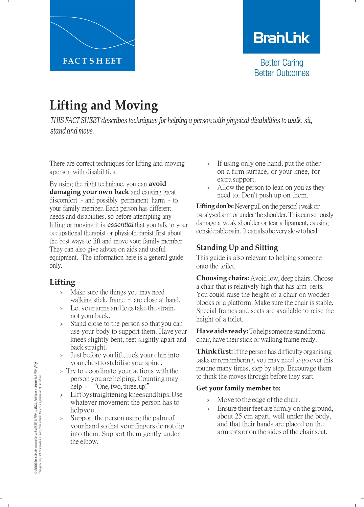

## **BranLink**

**Better Caring Better Outcomes** 

# **Lifting and Moving**

*THIS FACT SHEET describes techniques for helping a person with physical disabilities to walk, sit, stand and move.*

There are correct techniques for lifting and moving aperson with disabilities.

By using the right technique, you can **avoid damaging your own back** and causing great discomfort - and possibly permanent harm - to your family member. Each person has different needs and disabilities, so before attempting any lifting or moving it is *essential* that you talk to your occupational therapist or physiotherapist first about the best ways to lift and move your family member. They can also give advice on aids and useful equipment. The information here is a general guide only.

## **Lifting**

- › Make sure the things you may need walking stick, frame – are close at hand.
- › Let your arms and legstake the strain, not your back.
- › Stand close to the person so that you can use your body to support them. Have your knees slightly bent, feet slightly apart and back straight.
- › Just before you lift, tuck your chin into your chesttostabiliseyourspine.
- › Try to coordinate your actions with the person you are helping.Counting may help – "One, two, three, up!"
- › Lift bystraightening knees and hips. Use whatever movement the person has to help you.
- Support the person using the palm of your hand so that your fingers do not dig into them. Support them gently under the elbow.
- › If using only one hand, put the other on a firm surface, or your knee, for extra support.
- › Allow the person to lean on you as they need to. Don't push up on them.

**Lifting don'ts:**Never pull on the person'<sup>s</sup> weak or paralysed arm or under the shoulder. This can seriously damage a weak shoulder or tear a ligament, causing considerable pain. It can also be very slow to heal.

## **Standing Up and Sitting**

This guide is also relevant to helping someone onto the toilet.

**Choosing chairs:** Avoid low, deep chairs. Choose a chair that is relatively high that has arm rests. You could raise the height of a chair on wooden blocks or a platform. Make sure the chair is stable. Special frames and seats are available to raise the height of a toilet.

**Haveaidsready:**Tohelpsomeonestandfroma chair, have their stick or walking frame ready.

**Think first:** If the person has difficulty organising tasks or remembering, you may need to go over this routine many times, step by step. Encourage them to think the moves through before they start.

#### **Get your family member to:**

- > Move to the edge of the chair.
- › Ensure their feet are firmly on the ground, about 25 cm apart, well under the body, and that their hands are placed on the armrests or on the sides of the chair seat.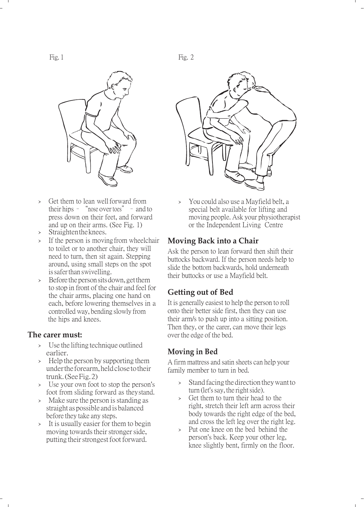

- › Get them to lean wellforward from their hips – "nose over toes" – and to press down on their feet, and forward and up on their arms. (See Fig. 1)
- Straighten the knees.
- › If the person is moving from wheelchair to toilet or to another chair, they will need to turn, then sit again. Stepping around, using small steps on the spot is safer than swivelling.
- > Before the person sits down, get them to stop in front of the chair and feel for the chair arms, placing one hand on each, before lowering themselves in a controlledway, bending slowly from the hips and knees.

#### **The carer must:**

- Use the lifting technique outlined earlier.
- › Help the person by supporting them underthe forearm, held close totheir trunk. (See Fig. 2)
- › Use your own foot to stop the person's foot from sliding forward as they stand.
- > Make sure the person is standing as straight as possible and is balanced before they take any steps.
- › It is usually easier for them to begin moving towards their stronger side, putting their strongest foot forward.



You could also use a Mayfield belt, a special belt available for lifting and moving people. Ask your physiotherapist or the Independent Living Centre

#### **Moving Back into a Chair**

Ask the person to lean forward then shift their buttocks backward. If the person needs help to slide the bottom backwards, hold underneath their buttocks or use a Mayfield belt.

#### **Getting out of Bed**

It is generally easiest to help the person to roll onto their better side first, then they can use their arm/s to push up into a sitting position. Then they, or the carer, can move their legs over the edge of the bed.

#### **Moving in Bed**

A firm mattress and satin sheets can help your family member to turn in bed.

- › Stand facing the direction they want to turn (let's say, the right side).
- Get them to turn their head to the right, stretch their left arm across their body towards the right edge of the bed, and cross the left leg over the right leg.
- › Put one knee on the bed behind the person's back. Keep your other leg, knee slightly bent, firmly on the floor.

Fig. 1 Fig. 2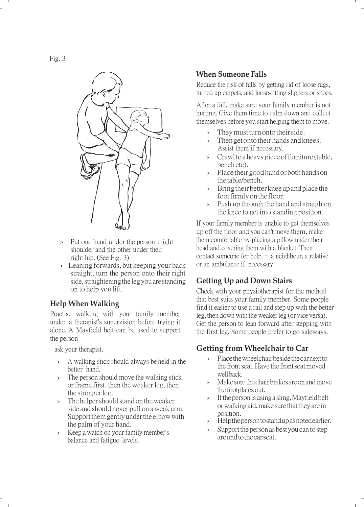

- › Put one hand under the person'<sup>s</sup> right shoulder and the other under their right hip. (See Fig. 3)
- › Leaning forwards, but keeping your back straight, turn the person onto their right side, straightening the leg you are standing on to help you lift.

#### **Help When Walking**

Practise walking with your family member under a therapist's supervision before trying it alone. A Mayfield belt can be used to support the person

- ask your therapist.
	- › A walking stick should always be held in the better hand.
	- › The person should move the walking stick or frame first, then the weaker leg, then the stronger leg.
	- › The helper should stand on theweaker side and should never pull on a weak arm. Support them gently under the elbow with the palm of your hand.
	- › Keep a watch on your family member's balance and fatigue levels.

#### **When Someone Falls**

Reduce the risk of falls by getting rid of loose rugs, turned up carpets, and loose-fitting slippers or shoes.

After a fall, make sure your family member is not hurting. Give them time to calm down and collect themselves before you start helping them to move.

- They must turn onto their side.
- > Then get onto their hands and knees. Assist them if necessary.
- > Crawl to a heavy piece of furniture (table, bench etc).
- › Placetheirgoodhandorbothhandson the table/bench.
- › Bringtheirbetterkneeupandplacethe footfirmlyonthefloor.
- Push up through the hand and straighten the knee to get into standing position.

If your family member is unable to get themselves up off the floor and you can't move them, make them comfortable by placing a pillow under their head and covering them with a blanket. Then contact someone for help – a neighbour, a relative or an ambulance if necessary.

## **Getting Up and Down Stairs**

Check with your physiotherapist for the method that best suits your family member. Some people find it easier to use a rail and step up with the better leg, then down with the weaker leg (or vice versa). Get the person to lean forward after stepping with the first leg. Some people prefer to go sideways.

### **Getting from Wheelchair to Car**

- › Placethewheelchairbesidethecarnextto the front seat. Have the front seat moved well back.
- › Makesurethechairbrakesareonandmove the footplates out.
- › Ifthepersonisusingasling,Mayfieldbelt orwalkingaid,make sure thattheyare in position.
- › Helpthepersontostandupasnotedearlier.
- > Support the person as best you can to step aroundtothecarseat.